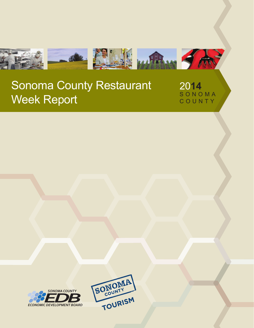

20**14** S O N O M A C O U N T Y



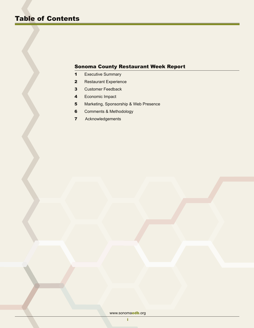- 1 Executive Summary
- 2 Restaurant Experience
- 3 Customer Feedback
- 4 Economic Impact
- 5 Marketing, Sponsorship & Web Presence
- **6** Comments & Methodology
- 7 Acknowledgements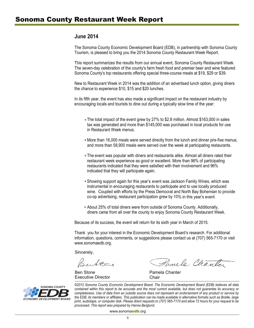# **June 2014**

The Sonoma County Economic Development Board (EDB), in partnership with Sonoma County Tourism, is pleased to bring you the 2014 Sonoma County Restaurant Week Report.

This report summarizes the results from our annual event, Sonoma County Restaurant Week. The seven-day celebration of the county's farm fresh food and premier beer and wine featured Sonoma County's top restaurants offering special three-course meals at \$19, \$29 or \$39.

New to Restaurant Week in 2014 was the addition of an advertised lunch option, giving diners the chance to experience \$10, \$15 and \$20 lunches.

In its fifth year, the event has also made a significant impact on the restaurant industry by encouraging locals and tourists to dine out during a typically slow time of the year:

- The total impact of the event grew by 27% to \$2.8 million. Almost \$163,000 in sales tax was generated and more than \$145,000 was purchased in local products for use in Restaurant Week menus.
- **Nore than 16,000 meals were served directly from the lunch and dinner prix-fixe menus,** and more than 58,900 meals were served over the week at participating restaurants.
- **The event was popular with diners and restaurants alike. Almost all diners rated their**  restaurant week experience as good or excellent. More than 96% of participating restaurants indicated that they were satisfied with their involvement and 96% indicated that they will participate again.
- Showing support again for this year's event was Jackson Family Wines, which was instrumental in encouraging restaurants to participate and to use locally produced wine. Coupled with efforts by the Press Democrat and North Bay Bohemian to provide co-op advertising, restaurant participation grew by 10% in this year's event.
- **About 25% of total diners were from outside of Sonoma County. Additionally,** diners came from all over the county to enjoy Sonoma County Restaurant Week. .

Because of its success, the event will return for its sixth year in March of 2015.

Thank you for your interest in the Economic Development Board's research. For additional information, questions, comments, or suggestions please contact us at (707) 565-7170 or visit www.sonomaedb.org.

Sincerely,

Ben Stone **Pamela Chanter** Executive Director **Executive** Director

Pamela Chanter



*©2012 Sonoma County Economic Development Board. The Economic Development Board (EDB) believes all data contained within this report to be accurate and the most current available, but does not guarantee its accuracy or completeness. Use of data from an outside source does not represent an endorsement of any product or service by the EDB, its members or affiliates. This publication can be made available in alternative formats such as Braille, large print, audiotape, or computer disk. Please direct requests to (707) 565-7170 and allow 72 hours for your request to be processed. This report was prepared by Hanna Berglund.*

www.sonomaedb.org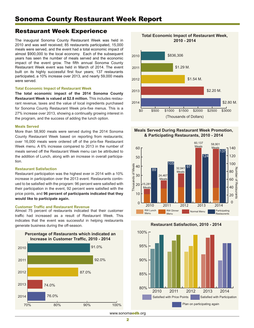# Restaurant Week Experience

The inaugural Sonoma County Restaurant Week was held in 2010 and was well received; 85 restaurants participated, 15,000 meals were served, and the event had a total economic impact of almost \$900,000 to the local economy. Each of the subsequent years has seen the number of meals served and the economic impact of the event grow. The fifth annual Sonoma County Restaurant Week event was held in March of 2014. The event built on its highly successful first four years; 137 restaurants participated, a 10% increase over 2013, and nearly 59,000 meals were served.

#### **Total Economic Impact of Restaurant Week**

**The total economic impact of the 2014 Sonoma County Restaurant Week is valued at \$2.8 million.** This includes restaurant revenue, taxes and the value of local ingredients purchased for Sonoma County Restaurant Week prix-fixe menus. This is a 27% increase over 2013, showing a continually growing interest in the program, and the success of adding the lunch option.

#### **Meals Served**

More than 58,900 meals were served during the 2014 Sonoma County Restaurant Week based on reporting from restaurants; over 16,000 meals were ordered off of the prix-fixe Restaurant Week menu. A 6% increase compared to 2013 in the number of meals served off the Restaurant Week menu can be attributed to the addition of Lunch, along with an increase in overall participation.

## **Restaurant Satisfaction**

Restaurant participation was the highest ever in 2014 with a 10% increase in participation over the 2013 event. Restaurants continued to be satisfied with the program: 96 percent were satisfied with their participation in the event, 92 percent were satisfied with the price points, and **96 percent of participants indicated that they would like to participate again.** 

### **Customer Traffic and Restaurant Revenue**

Almost 75 percent of restaurants indicated that their customer traffic had increased as a result of Restaurant Week. This indicates that the event was successful in helping restaurants generate business during the off-season.





## **Meals Served During Restaurant Week Promotion, & Participating Restaurants, 2010 - 2014**







www.sonomaedb.org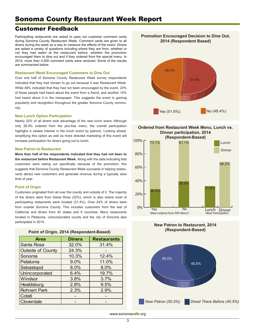# Customer Feedback

Participating restaurants are asked to pass out customer comment cards during Sonoma County Restaurant Week. Comment cards are given to all diners during the week as a way to measure the effects of the event. Diners are asked a variety of questions including where they are from, whether or not they had eaten at the restaurant before, whether the promotion encouraged them to dine out and if they ordered from the special menu. In 2014, more than 4,500 comment cards were received. Some of the results are summarized below.

#### **Restaurant Week Encouraged Customers to Dine Out**

Over one half of Sonoma County Restaurant Week survey respondents indicated that they had chosen to go out because it was Restaurant Week. While 48% indicated that they had not been encouraged by the event, 23% of those people had heard about the event from a friend, and another 14% had heard about it in the newspaper. This suggests the event is gaining popularity and recognition throughout the greater Sonoma County community.

#### **New Lunch Option Participation**

Nearly 32% of all diners took advantage of the new lunch event. Although only 26.9% ordered from the prix-fixe menu, the overall participation highlighs a vested interest in the lunch event by patrons. Looking ahead, simplifying this option as well as more directed marketing of this event will increase participation for diners going out to lunch.

#### **New Patron to Restaurant**

**More than half of the respondents indicated that they had not been to the restaurant before Restaurant Week.** Along with the data indicating that customers were eating out specifically because of the promotion, this suggests that Sonoma County Restaurant Week succeeds in helping restaurants attract new customers and generate revenue during a typically slow time of year.

#### **Point of Origin**

Customers originated from all over the county and outside of it. The majority of the diners were from Santa Rosa (32%), which is also where most of participating restaurants were located (31.4%). Over 24% of diners were from outside Sonoma County. This includes customers from the rest of California and diners from 40 states and 9 countries. Many restaurants located in Petaluma, unincorporated county and the city of Sonoma also participated in 2014.

| <b>Area</b>              | <b>Diners</b> | <b>Restaurants</b> |
|--------------------------|---------------|--------------------|
| Santa Rosa               | 32.0%         | 31.4%              |
| <b>Outside of County</b> | 24.3%         |                    |
| Sonoma                   | 10.3%         | 12.4%              |
| Petaluma                 | 9.0%          | 11.0%              |
| Sebastopol               | 8.0%          | 8.0%               |
| Unincorporated           | 6.4%          | 19.7%              |
| Windsor                  | 3.8%          | 3.7%               |
| Healdsburg               | 2.8%          | 9.5%               |
| <b>Rohnert Park</b>      | 2.3%          | 2.9%               |
| Cotati                   |               |                    |
| Cloverdale               |               |                    |

### **Point of Origin, 2014 (Respondent-Based)**

**Promotion Encouraged Decision to Dine Out, 2014 (Respondent Based)**









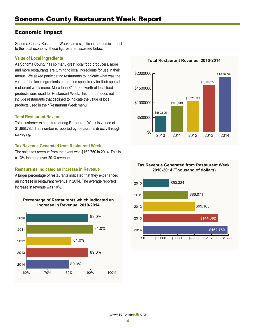# Economic Impact

Sonoma County Restaurant Week has a significant economic impact to the local economy; these figures are discussed below.

# **Value of Local Ingredients**

As Sonoma County has so many great local food producers, more and more restaurants are turning to local ingredients for use in their menus. We asked participating restaurants to indicate what was the value of the local ingredients purchased specifically for their special restaurant week menu. More than \$145,000 worth of local food products were used for Restaurant Week.This amount does not include restaurants that declined to indicate the value of local products used in their Restaurant Week menu.

## **Total Restaurant Revenue**

Total customer expenditure during Restaurant Week is valued at \$1,888,782. This number is reported by restaurants directly through surveying.

# **Tax Revenue Generated from Restaurant Week**

The sales tax revenue from the event was \$162,750 in 2014. This is a 13% increase over 2013 revenues.

# **Restaurants Indicated an Increase in Revenue**

A larger percentage of restaurants indicated that they experienced an increase in restaurant revenue in 2014. The average reported increase in revenue was 10%.



**Total Restaurant Revenue, 2010-2014**



## **Tax Revenue Generated from Restaurant Week, 2010-2014 (Thousand of dollars)**

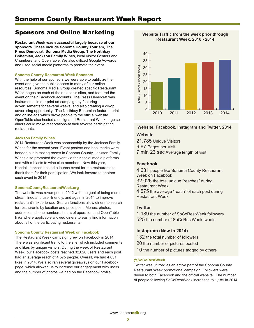# Sponsors and Online Marketing

**Restaurant Week was successful largely because of our sponsors. These include Sonoma County Tourism, The Press Democrat, Sonoma Media Group, The Northbay Bohemian, Jackson Family Wines**, local Visitor Centers and Chambers, and OpenTable. We also utilized Google Adwords and used social media platforms to promote the event.

#### **Sonoma County Restaurant Week Sponsors**

With the help of our sponsors we were able to publicize the event and give the public access to many of our online resources. Sonoma Media Group created specific Restaurant Week pages on each of their station's sites, and featured the event on their Facebook accounts. The Press Democrat was instrumental in our print ad campaign by featuring advertisements for several weeks, and also creating a co-op advertising opportunity. The Northbay Bohemian featured print and online ads which drove people to the official website. OpenTable also hosted a designated Restaurant Week page so diners could make reservations at their favorite participating restaurants.

#### **Jackson Family Wines**

2014 Restaurant Week was sponsorship by the Jackson Family Wines for the second year. Event posters and bookmarks were handed out in tasting rooms in Sonoma County. Jackson Family Wines also promoted the event via their social media platforms and with e-blasts to wine club members. New this year, Kendall-Jackson hosted a launch event for the restaurants to thank them for their participation. We look forward to another such event in 2015.

#### **SonomaCountyRestaurantWeek.org**

The website was revamped in 2012 with the goal of being more streamlined and user-friendly, and again in 2014 to improve restaurant's experience. Search functions allow diners to search for restaurants by location and price point. Menus, photos, addresses, phone numbers, hours of operation and OpenTable links where applicable allowed diners to easily find information about all of the participating restaurants.

### **Sonoma County Restaurant Week on Facebook**

The Restaurant Week campaign grew on Facebook in 2014. There was significant traffic to the site, which included comments and likes by unique visitors. During the week of Restaurant Week, our Facebook posts reached 32,026 users and each post had an average reach of 4,575 people. Overall, we had 4,631 likes in 2014. We also ran several giveaways on our Facebook page, which allowed us to increase our engagement with users and the number of photos we had on the Facebook profile.



#### **Website Traffic from the week prior through Restaurant Week, 2010 - 2014**



# **Website**

21,785 Unique Visitors

9.67 Pages per Visit

7 min 23 sec Average length of visit

## **Facebook**

4,631 people like Sonoma County Restaurant Week on Facebook 32,026 the total unique "reaches" during

Restaurant Week

4,575 the average "reach" of each post during Restaurant Week

## **Twitter**

1,189 the number of SoCoRestWeek followers 525 the number of SoCoRestWeek tweets

# **Instagram (New in 2014)**

- 132 the total number of followers
- 20 the number of pictures posted
- 10 the number of pictures tagged by others

### **@SoCoRestWeek**

Twitter was utilized as an active part of the Sonoma County Restaurant Week promotional campaign. Followers were driven to both Facebook and the official website. The number of people following SoCoRestWeek increased to 1,189 in 2014.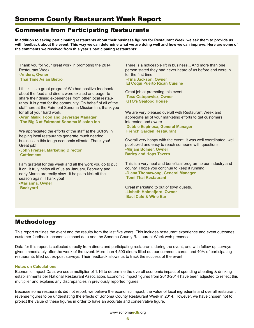# Comments from Participating Restaurants

**In addition to asking participating restaurants about their business figures for Restaurant Week, we ask them to provide us with feedback about the event. This way we can determine what we are doing well and how we can improve. Here are some of the comments we received from this year's participating restaurants:**

Thank you for your great work in promoting the 2014 Restaurant Week.

**-Anders, Owner Thai Time Asian Bistro**

I think it is a great program! We had positive feedback about the food and diners were excited and eager to share their dining experiences from other local restaurants. It is great for the community. On behalf of all of the staff here at the Fairmont Sonoma Mission Inn, thank you for all of your hard work.

**-Arun Malik, Food and Beverage Manager The Big 3 at Fairmont Sonoma Mission Inn**

We appreciated the efforts of the staff at the SCRW in helping local restaurants generate much needed business in this tough economic climate. Thank you! Great job!

**-John Frenzel, Marketing Director Cattlemens**

I am grateful for this week and all the work you do to put it on. It truly helps all of us as January, February and early March are really slow...it helps to kick off the season again. Thank you! **-Marianna, Owner Backyard**

There is a noticeable lift in business. And more than one person stated they had never heard of us before and were in for the first time.

 **-Tina Jackson, Owner El Coqui Puerto Rican Cuisine**

Great job at promoting this event! **-Tess Ostopowicz, Owner GTO's Seafood House**

We are very pleased overall with Restaurant Week and appreciate all of your marketing efforts to get customers interested and aware. **-Debbie Espinosa, General Manager French Garden Restaurant**

Overall very happy with the event. It was well coordinated, well publicized and easy to reach someone with questions. **-Mirjam Bolmer, Owner Barley and Hops Tavern**

This is a very neat and beneficial program to our industry and county. I hope you continue to keep it running. **-Diana Thomawong, General Manager Tomi Thai Restaurant**

Great marketing to out of town guests. **-Lisbeth Holmefjord, Owner Baci Café & Wine Bar**

# Methodology

This report outlines the event and the results from the last five years. This includes restaurant experience and event outcomes, customer feedback, economic impact data and the Sonoma County Restaurant Week web presence.

Data for this report is collected directly from diners and participating restaurants during the event, and with follow-up surveys given immediately after the week of the event. More than 4,500 diners filled out our comment cards, and 40% of participating restaurants filled out ex-post surveys. Their feedback allows us to track the success of the event.

# **Notes on Calculations:**

Economic Impact Data: we use a multiplier of 1.16 to determine the overall economic impact of spending at eating & drinking establishments per National Restaurant Association. Economic impact figures from 2010-2014 have been adjusted to reflect this multiplier and explains any discrepancies in previously reported figures.

Because some restaurants did not report, we believe the economic impact, the value of local ingredients and overall restaurant revenue figures to be understating the effects of Sonoma County Restaurant Week in 2014. However, we have chosen not to project the value of these figures in order to have an accurate and conservative figure.

www.sonomaedb.org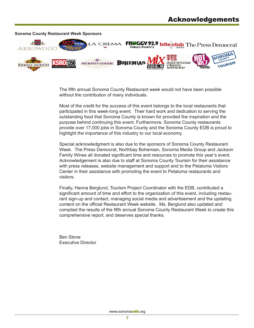

The fifth annual Sonoma County Restaurant week would not have been possible without the contribution of many individuals.

Most of the credit for the success of this event belongs to the local restaurants that participated in this week-long event. Their hard work and dedication to serving the outstanding food that Sonoma County is known for provided the inspiration and the purpose behind continuing this event. Furthermore, Sonoma County restaurants provide over 17,000 jobs in Sonoma County and the Sonoma County EDB is proud to highlight the importance of this industry to our local economy.

Special acknowledgment is also due to the sponsors of Sonoma County Restaurant Week. The Press Democrat, Northbay Bohemian, Sonoma Media Group and Jackson Family Wines all donated significant time and resources to promote this year's event. Acknowledgement is also due to staff at Sonoma County Tourism for their assistance with press releases, website management and support and to the Petaluma Visitors Center in their assistance with promoting the event to Petaluma restaurants and visitors.

Finally, Hanna Berglund, Tourism Project Coordinator with the EDB, contributed a significant amount of time and effort to the organization of this event, including restaurant sign-up and contact, managing social media and advertisement and the updating content on the official Restaurant Week website. Ms. Berglund also updated and compiled the results of the fifth annual Sonoma County Restaurant Week to create this comprehensive report, and deserves special thanks.

Ben Stone Executive Director